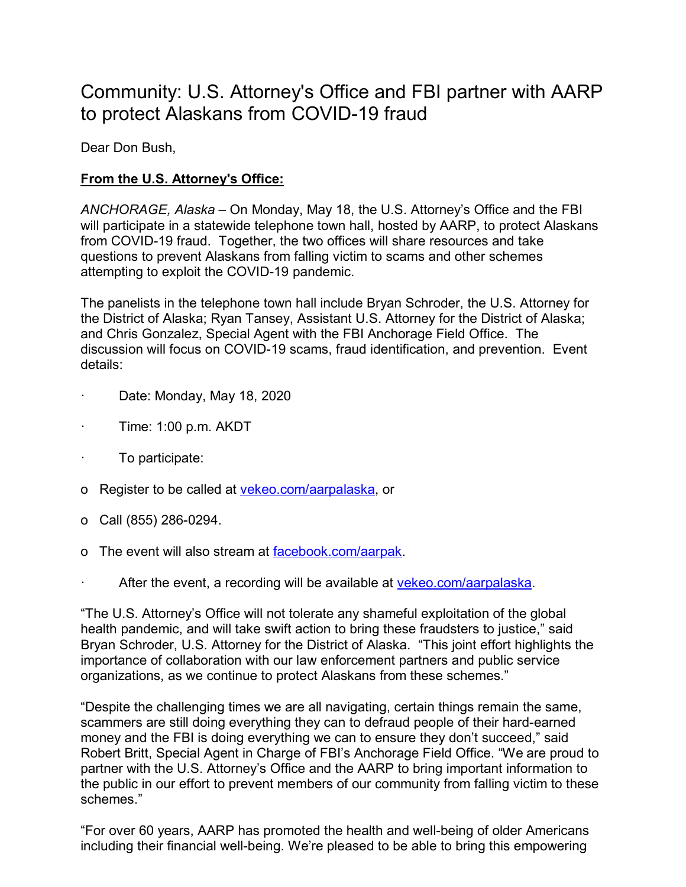## Community: U.S. Attorney's Office and FBI partner with AARP to protect Alaskans from COVID-19 fraud

Dear Don Bush,

## **From the U.S. Attorney's Office:**

*ANCHORAGE, Alaska* – On Monday, May 18, the U.S. Attorney's Office and the FBI will participate in a statewide telephone town hall, hosted by AARP, to protect Alaskans from COVID-19 fraud. Together, the two offices will share resources and take questions to prevent Alaskans from falling victim to scams and other schemes attempting to exploit the COVID-19 pandemic.

The panelists in the telephone town hall include Bryan Schroder, the U.S. Attorney for the District of Alaska; Ryan Tansey, Assistant U.S. Attorney for the District of Alaska; and Chris Gonzalez, Special Agent with the FBI Anchorage Field Office. The discussion will focus on COVID-19 scams, fraud identification, and prevention. Event details:

- Date: Monday, May 18, 2020
- · Time: 1:00 p.m. AKDT
- · To participate:
- o Register to be called at [vekeo.com/aarpalaska,](https://vekeo.com/aarpalaska/) or
- o Call (855) 286-0294.
- o The event will also stream at [facebook.com/aarpak.](https://www.facebook.com/AARPAK/)
- After the event, a recording will be available at [vekeo.com/aarpalaska.](https://vekeo.com/aarpalaska/)

"The U.S. Attorney's Office will not tolerate any shameful exploitation of the global health pandemic, and will take swift action to bring these fraudsters to justice," said Bryan Schroder, U.S. Attorney for the District of Alaska. "This joint effort highlights the importance of collaboration with our law enforcement partners and public service organizations, as we continue to protect Alaskans from these schemes."

"Despite the challenging times we are all navigating, certain things remain the same, scammers are still doing everything they can to defraud people of their hard-earned money and the FBI is doing everything we can to ensure they don't succeed," said Robert Britt, Special Agent in Charge of FBI's Anchorage Field Office. "We are proud to partner with the U.S. Attorney's Office and the AARP to bring important information to the public in our effort to prevent members of our community from falling victim to these schemes."

"For over 60 years, AARP has promoted the health and well-being of older Americans including their financial well-being. We're pleased to be able to bring this empowering